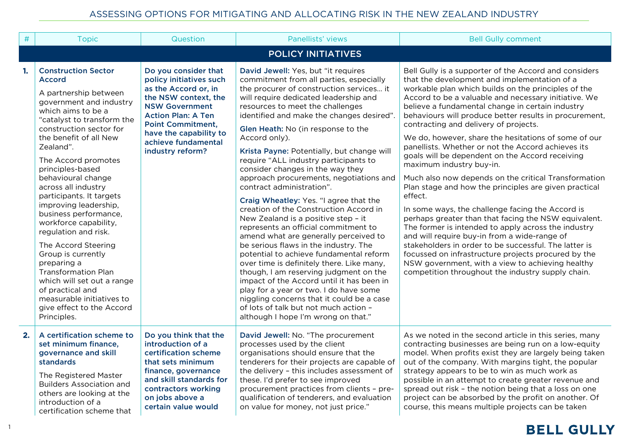| $\#$ | <b>Topic</b>                                                                                                                                                                                                                                                                                                                                                                                                                                                                                                                                                                                                                                                      | Question                                                                                                                                                                                                                                               | Panellists' views                                                                                                                                                                                                                                                                                                                                                                                                                                                                                                                                                                                                                                                                                                                                                                                                                                                                                                                                                                                                                                                                                                         | <b>Bell Gully comment</b>                                                                                                                                                                                                                                                                                                                                                                                                                                                                                                                                                                                                                                                                                                                                                                                                                                                                                                                                                                                                                                                                                                                        |
|------|-------------------------------------------------------------------------------------------------------------------------------------------------------------------------------------------------------------------------------------------------------------------------------------------------------------------------------------------------------------------------------------------------------------------------------------------------------------------------------------------------------------------------------------------------------------------------------------------------------------------------------------------------------------------|--------------------------------------------------------------------------------------------------------------------------------------------------------------------------------------------------------------------------------------------------------|---------------------------------------------------------------------------------------------------------------------------------------------------------------------------------------------------------------------------------------------------------------------------------------------------------------------------------------------------------------------------------------------------------------------------------------------------------------------------------------------------------------------------------------------------------------------------------------------------------------------------------------------------------------------------------------------------------------------------------------------------------------------------------------------------------------------------------------------------------------------------------------------------------------------------------------------------------------------------------------------------------------------------------------------------------------------------------------------------------------------------|--------------------------------------------------------------------------------------------------------------------------------------------------------------------------------------------------------------------------------------------------------------------------------------------------------------------------------------------------------------------------------------------------------------------------------------------------------------------------------------------------------------------------------------------------------------------------------------------------------------------------------------------------------------------------------------------------------------------------------------------------------------------------------------------------------------------------------------------------------------------------------------------------------------------------------------------------------------------------------------------------------------------------------------------------------------------------------------------------------------------------------------------------|
|      |                                                                                                                                                                                                                                                                                                                                                                                                                                                                                                                                                                                                                                                                   |                                                                                                                                                                                                                                                        | <b>POLICY INITIATIVES</b>                                                                                                                                                                                                                                                                                                                                                                                                                                                                                                                                                                                                                                                                                                                                                                                                                                                                                                                                                                                                                                                                                                 |                                                                                                                                                                                                                                                                                                                                                                                                                                                                                                                                                                                                                                                                                                                                                                                                                                                                                                                                                                                                                                                                                                                                                  |
| 1.   | <b>Construction Sector</b><br><b>Accord</b><br>A partnership between<br>government and industry<br>which aims to be a<br>"catalyst to transform the<br>construction sector for<br>the benefit of all New<br>Zealand".<br>The Accord promotes<br>principles-based<br>behavioural change<br>across all industry<br>participants. It targets<br>improving leadership,<br>business performance,<br>workforce capability,<br>regulation and risk.<br>The Accord Steering<br>Group is currently<br>preparing a<br><b>Transformation Plan</b><br>which will set out a range<br>of practical and<br>measurable initiatives to<br>give effect to the Accord<br>Principles. | Do you consider that<br>policy initiatives such<br>as the Accord or, in<br>the NSW context, the<br><b>NSW Government</b><br><b>Action Plan: A Ten</b><br><b>Point Commitment,</b><br>have the capability to<br>achieve fundamental<br>industry reform? | David Jewell: Yes, but "it requires<br>commitment from all parties, especially<br>the procurer of construction services it<br>will require dedicated leadership and<br>resources to meet the challenges<br>identified and make the changes desired".<br>Glen Heath: No (in response to the<br>Accord only).<br>Krista Payne: Potentially, but change will<br>require "ALL industry participants to<br>consider changes in the way they<br>approach procurements, negotiations and<br>contract administration".<br>Craig Wheatley: Yes. "I agree that the<br>creation of the Construction Accord in<br>New Zealand is a positive step - it<br>represents an official commitment to<br>amend what are generally perceived to<br>be serious flaws in the industry. The<br>potential to achieve fundamental reform<br>over time is definitely there. Like many,<br>though, I am reserving judgment on the<br>impact of the Accord until it has been in<br>play for a year or two. I do have some<br>niggling concerns that it could be a case<br>of lots of talk but not much action -<br>although I hope I'm wrong on that." | Bell Gully is a supporter of the Accord and considers<br>that the development and implementation of a<br>workable plan which builds on the principles of the<br>Accord to be a valuable and necessary initiative. We<br>believe a fundamental change in certain industry<br>behaviours will produce better results in procurement,<br>contracting and delivery of projects.<br>We do, however, share the hesitations of some of our<br>panellists. Whether or not the Accord achieves its<br>goals will be dependent on the Accord receiving<br>maximum industry buy-in.<br>Much also now depends on the critical Transformation<br>Plan stage and how the principles are given practical<br>effect.<br>In some ways, the challenge facing the Accord is<br>perhaps greater than that facing the NSW equivalent.<br>The former is intended to apply across the industry<br>and will require buy-in from a wide-range of<br>stakeholders in order to be successful. The latter is<br>focussed on infrastructure projects procured by the<br>NSW government, with a view to achieving healthy<br>competition throughout the industry supply chain. |
| 2.   | A certification scheme to<br>set minimum finance,<br>governance and skill<br>standards<br>The Registered Master<br><b>Builders Association and</b><br>others are looking at the<br>introduction of a<br>certification scheme that                                                                                                                                                                                                                                                                                                                                                                                                                                 | Do you think that the<br>introduction of a<br>certification scheme<br>that sets minimum<br>finance, governance<br>and skill standards for<br>contractors working<br>on jobs above a<br>certain value would                                             | David Jewell: No. "The procurement<br>processes used by the client<br>organisations should ensure that the<br>tenderers for their projects are capable of<br>the delivery - this includes assessment of<br>these. I'd prefer to see improved<br>procurement practices from clients - pre-<br>qualification of tenderers, and evaluation<br>on value for money, not just price."                                                                                                                                                                                                                                                                                                                                                                                                                                                                                                                                                                                                                                                                                                                                           | As we noted in the second article in this series, many<br>contracting businesses are being run on a low-equity<br>model. When profits exist they are largely being taken<br>out of the company. With margins tight, the popular<br>strategy appears to be to win as much work as<br>possible in an attempt to create greater revenue and<br>spread out risk - the notion being that a loss on one<br>project can be absorbed by the profit on another. Of<br>course, this means multiple projects can be taken                                                                                                                                                                                                                                                                                                                                                                                                                                                                                                                                                                                                                                   |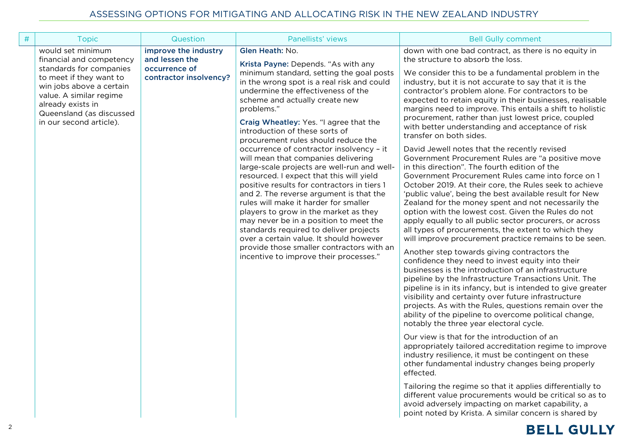| # | Question<br><b>Topic</b>                                                                                                                                                                                                                                                                                                    | Panellists' views                                                                                                                                                                                                                                                                                                                                                                                                                                                                                                                                                                                                                                                                                                                                                                                                                                                                                                                         | <b>Bell Gully comment</b>                                                                                                                                                                                                                                                                                                                                                                                                                                                                                                                                                                                                                                                                                                                                                                                                                                                                                                                                                                                                                                                                                                                                                                                                                                                                                                                                                                                                                                                                                                                                                                                                                                                                                                                                                                                                                                                                                                                                                                                                                                                                                                               |
|---|-----------------------------------------------------------------------------------------------------------------------------------------------------------------------------------------------------------------------------------------------------------------------------------------------------------------------------|-------------------------------------------------------------------------------------------------------------------------------------------------------------------------------------------------------------------------------------------------------------------------------------------------------------------------------------------------------------------------------------------------------------------------------------------------------------------------------------------------------------------------------------------------------------------------------------------------------------------------------------------------------------------------------------------------------------------------------------------------------------------------------------------------------------------------------------------------------------------------------------------------------------------------------------------|-----------------------------------------------------------------------------------------------------------------------------------------------------------------------------------------------------------------------------------------------------------------------------------------------------------------------------------------------------------------------------------------------------------------------------------------------------------------------------------------------------------------------------------------------------------------------------------------------------------------------------------------------------------------------------------------------------------------------------------------------------------------------------------------------------------------------------------------------------------------------------------------------------------------------------------------------------------------------------------------------------------------------------------------------------------------------------------------------------------------------------------------------------------------------------------------------------------------------------------------------------------------------------------------------------------------------------------------------------------------------------------------------------------------------------------------------------------------------------------------------------------------------------------------------------------------------------------------------------------------------------------------------------------------------------------------------------------------------------------------------------------------------------------------------------------------------------------------------------------------------------------------------------------------------------------------------------------------------------------------------------------------------------------------------------------------------------------------------------------------------------------------|
|   | would set minimum<br>improve the industry<br>financial and competency<br>and lessen the<br>occurrence of<br>standards for companies<br>to meet if they want to<br>contractor insolvency?<br>win jobs above a certain<br>value. A similar regime<br>already exists in<br>Queensland (as discussed<br>in our second article). | Glen Heath: No.<br>Krista Payne: Depends. "As with any<br>minimum standard, setting the goal posts<br>in the wrong spot is a real risk and could<br>undermine the effectiveness of the<br>scheme and actually create new<br>problems."<br>Craig Wheatley: Yes. "I agree that the<br>introduction of these sorts of<br>procurement rules should reduce the<br>occurrence of contractor insolvency - it<br>will mean that companies delivering<br>large-scale projects are well-run and well-<br>resourced. I expect that this will yield<br>positive results for contractors in tiers 1<br>and 2. The reverse argument is that the<br>rules will make it harder for smaller<br>players to grow in the market as they<br>may never be in a position to meet the<br>standards required to deliver projects<br>over a certain value. It should however<br>provide those smaller contractors with an<br>incentive to improve their processes." | down with one bad contract, as there is no equity in<br>the structure to absorb the loss.<br>We consider this to be a fundamental problem in the<br>industry, but it is not accurate to say that it is the<br>contractor's problem alone. For contractors to be<br>expected to retain equity in their businesses, realisable<br>margins need to improve. This entails a shift to holistic<br>procurement, rather than just lowest price, coupled<br>with better understanding and acceptance of risk<br>transfer on both sides.<br>David Jewell notes that the recently revised<br>Government Procurement Rules are "a positive move<br>in this direction". The fourth edition of the<br>Government Procurement Rules came into force on 1<br>October 2019. At their core, the Rules seek to achieve<br>'public value', being the best available result for New<br>Zealand for the money spent and not necessarily the<br>option with the lowest cost. Given the Rules do not<br>apply equally to all public sector procurers, or across<br>all types of procurements, the extent to which they<br>will improve procurement practice remains to be seen.<br>Another step towards giving contractors the<br>confidence they need to invest equity into their<br>businesses is the introduction of an infrastructure<br>pipeline by the Infrastructure Transactions Unit. The<br>pipeline is in its infancy, but is intended to give greater<br>visibility and certainty over future infrastructure<br>projects. As with the Rules, questions remain over the<br>ability of the pipeline to overcome political change,<br>notably the three year electoral cycle.<br>Our view is that for the introduction of an<br>appropriately tailored accreditation regime to improve<br>industry resilience, it must be contingent on these<br>other fundamental industry changes being properly<br>effected.<br>Tailoring the regime so that it applies differentially to<br>different value procurements would be critical so as to<br>avoid adversely impacting on market capability, a<br>point noted by Krista. A similar concern is shared by |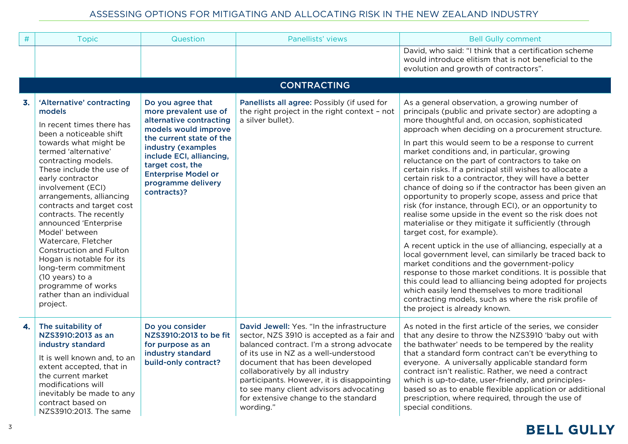| $\#$ | <b>Topic</b>                                                                                                                                                                                                                                                                                                                                                                                                                                                                                                                                                           | Question                                                                                                                                                                                                                                                           | Panellists' views                                                                                                                                                                                                                                                                                                                                                                                | <b>Bell Gully comment</b>                                                                                                                                                                                                                                                                                                                                                                                                                                                                                                                                                                                                                                                                                                                                                                                                                                                                                                                                                                                                                                                                                                                                                                                                                                                 |
|------|------------------------------------------------------------------------------------------------------------------------------------------------------------------------------------------------------------------------------------------------------------------------------------------------------------------------------------------------------------------------------------------------------------------------------------------------------------------------------------------------------------------------------------------------------------------------|--------------------------------------------------------------------------------------------------------------------------------------------------------------------------------------------------------------------------------------------------------------------|--------------------------------------------------------------------------------------------------------------------------------------------------------------------------------------------------------------------------------------------------------------------------------------------------------------------------------------------------------------------------------------------------|---------------------------------------------------------------------------------------------------------------------------------------------------------------------------------------------------------------------------------------------------------------------------------------------------------------------------------------------------------------------------------------------------------------------------------------------------------------------------------------------------------------------------------------------------------------------------------------------------------------------------------------------------------------------------------------------------------------------------------------------------------------------------------------------------------------------------------------------------------------------------------------------------------------------------------------------------------------------------------------------------------------------------------------------------------------------------------------------------------------------------------------------------------------------------------------------------------------------------------------------------------------------------|
|      |                                                                                                                                                                                                                                                                                                                                                                                                                                                                                                                                                                        |                                                                                                                                                                                                                                                                    |                                                                                                                                                                                                                                                                                                                                                                                                  | David, who said: "I think that a certification scheme<br>would introduce elitism that is not beneficial to the<br>evolution and growth of contractors".                                                                                                                                                                                                                                                                                                                                                                                                                                                                                                                                                                                                                                                                                                                                                                                                                                                                                                                                                                                                                                                                                                                   |
|      |                                                                                                                                                                                                                                                                                                                                                                                                                                                                                                                                                                        |                                                                                                                                                                                                                                                                    |                                                                                                                                                                                                                                                                                                                                                                                                  |                                                                                                                                                                                                                                                                                                                                                                                                                                                                                                                                                                                                                                                                                                                                                                                                                                                                                                                                                                                                                                                                                                                                                                                                                                                                           |
| 3.   | 'Alternative' contracting<br>models<br>In recent times there has<br>been a noticeable shift<br>towards what might be<br>termed 'alternative'<br>contracting models.<br>These include the use of<br>early contractor<br>involvement (ECI)<br>arrangements, alliancing<br>contracts and target cost<br>contracts. The recently<br>announced 'Enterprise<br>Model' between<br>Watercare, Fletcher<br><b>Construction and Fulton</b><br>Hogan is notable for its<br>long-term commitment<br>(10 years) to a<br>programme of works<br>rather than an individual<br>project. | Do you agree that<br>more prevalent use of<br>alternative contracting<br>models would improve<br>the current state of the<br>industry (examples<br>include ECI, alliancing,<br>target cost, the<br><b>Enterprise Model or</b><br>programme delivery<br>contracts)? | Panellists all agree: Possibly (if used for<br>the right project in the right context - not<br>a silver bullet).                                                                                                                                                                                                                                                                                 | As a general observation, a growing number of<br>principals (public and private sector) are adopting a<br>more thoughtful and, on occasion, sophisticated<br>approach when deciding on a procurement structure.<br>In part this would seem to be a response to current<br>market conditions and, in particular, growing<br>reluctance on the part of contractors to take on<br>certain risks. If a principal still wishes to allocate a<br>certain risk to a contractor, they will have a better<br>chance of doing so if the contractor has been given an<br>opportunity to properly scope, assess and price that<br>risk (for instance, through ECI), or an opportunity to<br>realise some upside in the event so the risk does not<br>materialise or they mitigate it sufficiently (through<br>target cost, for example).<br>A recent uptick in the use of alliancing, especially at a<br>local government level, can similarly be traced back to<br>market conditions and the government-policy<br>response to those market conditions. It is possible that<br>this could lead to alliancing being adopted for projects<br>which easily lend themselves to more traditional<br>contracting models, such as where the risk profile of<br>the project is already known. |
| 4.   | The suitability of<br>NZS3910:2013 as an<br>industry standard<br>It is well known and, to an<br>extent accepted, that in<br>the current market<br>modifications will<br>inevitably be made to any<br>contract based on<br>NZS3910:2013. The same                                                                                                                                                                                                                                                                                                                       | Do you consider<br>NZS3910:2013 to be fit<br>for purpose as an<br>industry standard<br>build-only contract?                                                                                                                                                        | David Jewell: Yes. "In the infrastructure<br>sector, NZS 3910 is accepted as a fair and<br>balanced contract. I'm a strong advocate<br>of its use in NZ as a well-understood<br>document that has been developed<br>collaboratively by all industry<br>participants. However, it is disappointing<br>to see many client advisors advocating<br>for extensive change to the standard<br>wording." | As noted in the first article of the series, we consider<br>that any desire to throw the NZS3910 'baby out with<br>the bathwater' needs to be tempered by the reality<br>that a standard form contract can't be everything to<br>everyone. A universally applicable standard form<br>contract isn't realistic. Rather, we need a contract<br>which is up-to-date, user-friendly, and principles-<br>based so as to enable flexible application or additional<br>prescription, where required, through the use of<br>special conditions.                                                                                                                                                                                                                                                                                                                                                                                                                                                                                                                                                                                                                                                                                                                                   |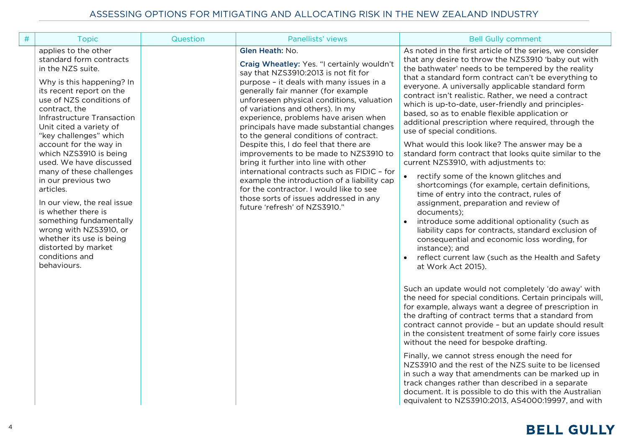| # | <b>Topic</b>                                                                                                                                                                                                                                                                                                                                                                                                                                                                                                                                                                                                | Question | Panellists' views                                                                                                                                                                                                                                                                                                                                                                                                                                                                                                                                                                                                                                                                                                                                       | <b>Bell Gully comment</b>                                                                                                                                                                                                                                                                                                                                                                                                                                                                                                                                                                                                                                                                                                                                                                                                                                                                                                                                                                                                                                                                                                                                                                                                                                                                                                                                                                                                                                                                                                                                                                                                                                                                                                                                                                                                                                                                            |
|---|-------------------------------------------------------------------------------------------------------------------------------------------------------------------------------------------------------------------------------------------------------------------------------------------------------------------------------------------------------------------------------------------------------------------------------------------------------------------------------------------------------------------------------------------------------------------------------------------------------------|----------|---------------------------------------------------------------------------------------------------------------------------------------------------------------------------------------------------------------------------------------------------------------------------------------------------------------------------------------------------------------------------------------------------------------------------------------------------------------------------------------------------------------------------------------------------------------------------------------------------------------------------------------------------------------------------------------------------------------------------------------------------------|------------------------------------------------------------------------------------------------------------------------------------------------------------------------------------------------------------------------------------------------------------------------------------------------------------------------------------------------------------------------------------------------------------------------------------------------------------------------------------------------------------------------------------------------------------------------------------------------------------------------------------------------------------------------------------------------------------------------------------------------------------------------------------------------------------------------------------------------------------------------------------------------------------------------------------------------------------------------------------------------------------------------------------------------------------------------------------------------------------------------------------------------------------------------------------------------------------------------------------------------------------------------------------------------------------------------------------------------------------------------------------------------------------------------------------------------------------------------------------------------------------------------------------------------------------------------------------------------------------------------------------------------------------------------------------------------------------------------------------------------------------------------------------------------------------------------------------------------------------------------------------------------------|
|   | applies to the other<br>standard form contracts<br>in the NZS suite.<br>Why is this happening? In<br>its recent report on the<br>use of NZS conditions of<br>contract, the<br>Infrastructure Transaction<br>Unit cited a variety of<br>"key challenges" which<br>account for the way in<br>which NZS3910 is being<br>used. We have discussed<br>many of these challenges<br>in our previous two<br>articles.<br>In our view, the real issue<br>is whether there is<br>something fundamentally<br>wrong with NZS3910, or<br>whether its use is being<br>distorted by market<br>conditions and<br>behaviours. |          | Glen Heath: No.<br>Craig Wheatley: Yes. "I certainly wouldn't<br>say that NZS3910:2013 is not fit for<br>purpose - it deals with many issues in a<br>generally fair manner (for example<br>unforeseen physical conditions, valuation<br>of variations and others). In my<br>experience, problems have arisen when<br>principals have made substantial changes<br>to the general conditions of contract.<br>Despite this, I do feel that there are<br>improvements to be made to NZS3910 to<br>bring it further into line with other<br>international contracts such as FIDIC - for<br>example the introduction of a liability cap<br>for the contractor. I would like to see<br>those sorts of issues addressed in any<br>future 'refresh' of NZS3910." | As noted in the first article of the series, we consider<br>that any desire to throw the NZS3910 'baby out with<br>the bathwater' needs to be tempered by the reality<br>that a standard form contract can't be everything to<br>everyone. A universally applicable standard form<br>contract isn't realistic. Rather, we need a contract<br>which is up-to-date, user-friendly and principles-<br>based, so as to enable flexible application or<br>additional prescription where required, through the<br>use of special conditions.<br>What would this look like? The answer may be a<br>standard form contract that looks quite similar to the<br>current NZS3910, with adjustments to:<br>rectify some of the known glitches and<br>shortcomings (for example, certain definitions,<br>time of entry into the contract, rules of<br>assignment, preparation and review of<br>documents);<br>introduce some additional optionality (such as<br>liability caps for contracts, standard exclusion of<br>consequential and economic loss wording, for<br>instance); and<br>reflect current law (such as the Health and Safety<br>$\bullet$<br>at Work Act 2015).<br>Such an update would not completely 'do away' with<br>the need for special conditions. Certain principals will,<br>for example, always want a degree of prescription in<br>the drafting of contract terms that a standard from<br>contract cannot provide - but an update should result<br>in the consistent treatment of some fairly core issues<br>without the need for bespoke drafting.<br>Finally, we cannot stress enough the need for<br>NZS3910 and the rest of the NZS suite to be licensed<br>in such a way that amendments can be marked up in<br>track changes rather than described in a separate<br>document. It is possible to do this with the Australian<br>equivalent to NZS3910:2013, AS4000:19997, and with |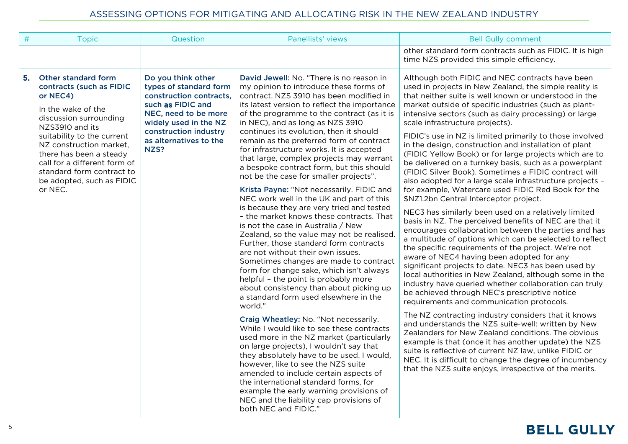| $\#$ | <b>Topic</b>                                                                                                                                                                                                                                                                                                            | Question                                                                                                                                                                                                 | Panellists' views                                                                                                                                                                                                                                                                                                                                                                                                                                                                                                                                                                                                                                                                                                                                                                                                                                                                                                                                                                                                                                                                                                                                                                                                                                                                                                                                                                                                                                                                                                                                                                      | <b>Bell Gully comment</b>                                                                                                                                                                                                                                                                                                                                                                                                                                                                                                                                                                                                                                                                                                                                                                                                                                                                                                                                                                                                                                                                                                                                                                                                                                                                                                                                                                                                                                                                                                                                                                                                                                                                                                                                                                                      |
|------|-------------------------------------------------------------------------------------------------------------------------------------------------------------------------------------------------------------------------------------------------------------------------------------------------------------------------|----------------------------------------------------------------------------------------------------------------------------------------------------------------------------------------------------------|----------------------------------------------------------------------------------------------------------------------------------------------------------------------------------------------------------------------------------------------------------------------------------------------------------------------------------------------------------------------------------------------------------------------------------------------------------------------------------------------------------------------------------------------------------------------------------------------------------------------------------------------------------------------------------------------------------------------------------------------------------------------------------------------------------------------------------------------------------------------------------------------------------------------------------------------------------------------------------------------------------------------------------------------------------------------------------------------------------------------------------------------------------------------------------------------------------------------------------------------------------------------------------------------------------------------------------------------------------------------------------------------------------------------------------------------------------------------------------------------------------------------------------------------------------------------------------------|----------------------------------------------------------------------------------------------------------------------------------------------------------------------------------------------------------------------------------------------------------------------------------------------------------------------------------------------------------------------------------------------------------------------------------------------------------------------------------------------------------------------------------------------------------------------------------------------------------------------------------------------------------------------------------------------------------------------------------------------------------------------------------------------------------------------------------------------------------------------------------------------------------------------------------------------------------------------------------------------------------------------------------------------------------------------------------------------------------------------------------------------------------------------------------------------------------------------------------------------------------------------------------------------------------------------------------------------------------------------------------------------------------------------------------------------------------------------------------------------------------------------------------------------------------------------------------------------------------------------------------------------------------------------------------------------------------------------------------------------------------------------------------------------------------------|
|      |                                                                                                                                                                                                                                                                                                                         |                                                                                                                                                                                                          |                                                                                                                                                                                                                                                                                                                                                                                                                                                                                                                                                                                                                                                                                                                                                                                                                                                                                                                                                                                                                                                                                                                                                                                                                                                                                                                                                                                                                                                                                                                                                                                        | other standard form contracts such as FIDIC. It is high<br>time NZS provided this simple efficiency.                                                                                                                                                                                                                                                                                                                                                                                                                                                                                                                                                                                                                                                                                                                                                                                                                                                                                                                                                                                                                                                                                                                                                                                                                                                                                                                                                                                                                                                                                                                                                                                                                                                                                                           |
| 5.   | Other standard form<br>contracts (such as FIDIC<br>or NEC4)<br>In the wake of the<br>discussion surrounding<br>NZS3910 and its<br>suitability to the current<br>NZ construction market,<br>there has been a steady<br>call for a different form of<br>standard form contract to<br>be adopted, such as FIDIC<br>or NEC. | Do you think other<br>types of standard form<br>construction contracts,<br>such as FIDIC and<br>NEC, need to be more<br>widely used in the NZ<br>construction industry<br>as alternatives to the<br>NZS? | David Jewell: No. "There is no reason in<br>my opinion to introduce these forms of<br>contract. NZS 3910 has been modified in<br>its latest version to reflect the importance<br>of the programme to the contract (as it is<br>in NEC), and as long as NZS 3910<br>continues its evolution, then it should<br>remain as the preferred form of contract<br>for infrastructure works. It is accepted<br>that large, complex projects may warrant<br>a bespoke contract form, but this should<br>not be the case for smaller projects".<br>Krista Payne: "Not necessarily. FIDIC and<br>NEC work well in the UK and part of this<br>is because they are very tried and tested<br>- the market knows these contracts. That<br>is not the case in Australia / New<br>Zealand, so the value may not be realised.<br>Further, those standard form contracts<br>are not without their own issues.<br>Sometimes changes are made to contract<br>form for change sake, which isn't always<br>helpful - the point is probably more<br>about consistency than about picking up<br>a standard form used elsewhere in the<br>world."<br>Craig Wheatley: No. "Not necessarily.<br>While I would like to see these contracts<br>used more in the NZ market (particularly<br>on large projects), I wouldn't say that<br>they absolutely have to be used. I would,<br>however, like to see the NZS suite<br>amended to include certain aspects of<br>the international standard forms, for<br>example the early warning provisions of<br>NEC and the liability cap provisions of<br>both NEC and FIDIC." | Although both FIDIC and NEC contracts have been<br>used in projects in New Zealand, the simple reality is<br>that neither suite is well known or understood in the<br>market outside of specific industries (such as plant-<br>intensive sectors (such as dairy processing) or large<br>scale infrastructure projects).<br>FIDIC's use in NZ is limited primarily to those involved<br>in the design, construction and installation of plant<br>(FIDIC Yellow Book) or for large projects which are to<br>be delivered on a turnkey basis, such as a powerplant<br>(FIDIC Silver Book). Sometimes a FIDIC contract will<br>also adopted for a large scale infrastructure projects -<br>for example, Watercare used FIDIC Red Book for the<br>\$NZ1.2bn Central Interceptor project.<br>NEC3 has similarly been used on a relatively limited<br>basis in NZ. The perceived benefits of NEC are that it<br>encourages collaboration between the parties and has<br>a multitude of options which can be selected to reflect<br>the specific requirements of the project. We're not<br>aware of NEC4 having been adopted for any<br>significant projects to date. NEC3 has been used by<br>local authorities in New Zealand, although some in the<br>industry have queried whether collaboration can truly<br>be achieved through NEC's prescriptive notice<br>requirements and communication protocols.<br>The NZ contracting industry considers that it knows<br>and understands the NZS suite-well: written by New<br>Zealanders for New Zealand conditions. The obvious<br>example is that (once it has another update) the NZS<br>suite is reflective of current NZ law, unlike FIDIC or<br>NEC. It is difficult to change the degree of incumbency<br>that the NZS suite enjoys, irrespective of the merits. |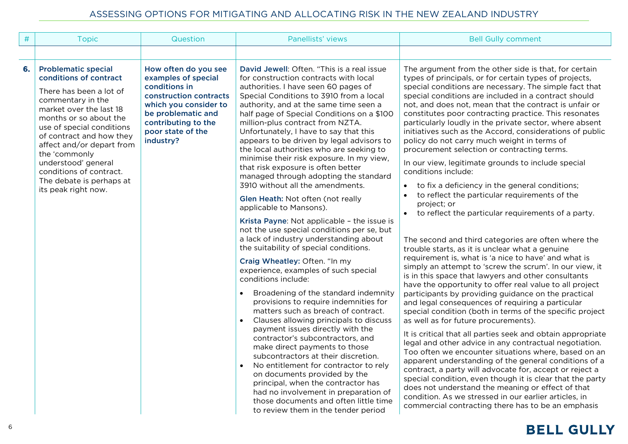| $\#$ | <b>Topic</b>                                                                                                                                                                                                                                                                                                                                                          | Question                                                                                                                                                                                       | Panellists' views                                                                                                                                                                                                                                                                                                                                                                                                                                                                                                                                                                                                                                                                                                                                                                                                                                                                                                                                                                                                                                                                                                                                                                                                                                                                                                                                                                                                                                                                                                                         | <b>Bell Gully comment</b>                                                                                                                                                                                                                                                                                                                                                                                                                                                                                                                                                                                                                                                                                                                                                                                                                                                                                                                                                                                                                                                                                                                                                                                                                                                                                                                                                                                                                                                                                                                                                                                                                                                                                                                                                                                                                                                                                                            |
|------|-----------------------------------------------------------------------------------------------------------------------------------------------------------------------------------------------------------------------------------------------------------------------------------------------------------------------------------------------------------------------|------------------------------------------------------------------------------------------------------------------------------------------------------------------------------------------------|-------------------------------------------------------------------------------------------------------------------------------------------------------------------------------------------------------------------------------------------------------------------------------------------------------------------------------------------------------------------------------------------------------------------------------------------------------------------------------------------------------------------------------------------------------------------------------------------------------------------------------------------------------------------------------------------------------------------------------------------------------------------------------------------------------------------------------------------------------------------------------------------------------------------------------------------------------------------------------------------------------------------------------------------------------------------------------------------------------------------------------------------------------------------------------------------------------------------------------------------------------------------------------------------------------------------------------------------------------------------------------------------------------------------------------------------------------------------------------------------------------------------------------------------|--------------------------------------------------------------------------------------------------------------------------------------------------------------------------------------------------------------------------------------------------------------------------------------------------------------------------------------------------------------------------------------------------------------------------------------------------------------------------------------------------------------------------------------------------------------------------------------------------------------------------------------------------------------------------------------------------------------------------------------------------------------------------------------------------------------------------------------------------------------------------------------------------------------------------------------------------------------------------------------------------------------------------------------------------------------------------------------------------------------------------------------------------------------------------------------------------------------------------------------------------------------------------------------------------------------------------------------------------------------------------------------------------------------------------------------------------------------------------------------------------------------------------------------------------------------------------------------------------------------------------------------------------------------------------------------------------------------------------------------------------------------------------------------------------------------------------------------------------------------------------------------------------------------------------------------|
|      |                                                                                                                                                                                                                                                                                                                                                                       |                                                                                                                                                                                                |                                                                                                                                                                                                                                                                                                                                                                                                                                                                                                                                                                                                                                                                                                                                                                                                                                                                                                                                                                                                                                                                                                                                                                                                                                                                                                                                                                                                                                                                                                                                           |                                                                                                                                                                                                                                                                                                                                                                                                                                                                                                                                                                                                                                                                                                                                                                                                                                                                                                                                                                                                                                                                                                                                                                                                                                                                                                                                                                                                                                                                                                                                                                                                                                                                                                                                                                                                                                                                                                                                      |
| 6.   | <b>Problematic special</b><br>conditions of contract<br>There has been a lot of<br>commentary in the<br>market over the last 18<br>months or so about the<br>use of special conditions<br>of contract and how they<br>affect and/or depart from<br>the 'commonly<br>understood' general<br>conditions of contract.<br>The debate is perhaps at<br>its peak right now. | How often do you see<br>examples of special<br>conditions in<br>construction contracts<br>which you consider to<br>be problematic and<br>contributing to the<br>poor state of the<br>industry? | David Jewell: Often. "This is a real issue<br>for construction contracts with local<br>authorities. I have seen 60 pages of<br>Special Conditions to 3910 from a local<br>authority, and at the same time seen a<br>half page of Special Conditions on a \$100<br>million-plus contract from NZTA.<br>Unfortunately, I have to say that this<br>appears to be driven by legal advisors to<br>the local authorities who are seeking to<br>minimise their risk exposure. In my view,<br>that risk exposure is often better<br>managed through adopting the standard<br>3910 without all the amendments.<br>Glen Heath: Not often (not really<br>applicable to Mansons).<br>Krista Payne: Not applicable - the issue is<br>not the use special conditions per se, but<br>a lack of industry understanding about<br>the suitability of special conditions.<br>Craig Wheatley: Often. "In my<br>experience, examples of such special<br>conditions include:<br>Broadening of the standard indemnity<br>$\bullet$<br>provisions to require indemnities for<br>matters such as breach of contract.<br>Clauses allowing principals to discuss<br>payment issues directly with the<br>contractor's subcontractors, and<br>make direct payments to those<br>subcontractors at their discretion.<br>No entitlement for contractor to rely<br>$\bullet$<br>on documents provided by the<br>principal, when the contractor has<br>had no involvement in preparation of<br>those documents and often little time<br>to review them in the tender period | The argument from the other side is that, for certain<br>types of principals, or for certain types of projects,<br>special conditions are necessary. The simple fact that<br>special conditions are included in a contract should<br>not, and does not, mean that the contract is unfair or<br>constitutes poor contracting practice. This resonates<br>particularly loudly in the private sector, where absent<br>initiatives such as the Accord, considerations of public<br>policy do not carry much weight in terms of<br>procurement selection or contracting terms.<br>In our view, legitimate grounds to include special<br>conditions include:<br>to fix a deficiency in the general conditions;<br>to reflect the particular requirements of the<br>project; or<br>• to reflect the particular requirements of a party.<br>The second and third categories are often where the<br>trouble starts, as it is unclear what a genuine<br>requirement is, what is 'a nice to have' and what is<br>simply an attempt to 'screw the scrum'. In our view, it<br>is in this space that lawyers and other consultants<br>have the opportunity to offer real value to all project<br>participants by providing guidance on the practical<br>and legal consequences of requiring a particular<br>special condition (both in terms of the specific project<br>as well as for future procurements).<br>It is critical that all parties seek and obtain appropriate<br>legal and other advice in any contractual negotiation.<br>Too often we encounter situations where, based on an<br>apparent understanding of the general conditions of a<br>contract, a party will advocate for, accept or reject a<br>special condition, even though it is clear that the party<br>does not understand the meaning or effect of that<br>condition. As we stressed in our earlier articles, in<br>commercial contracting there has to be an emphasis |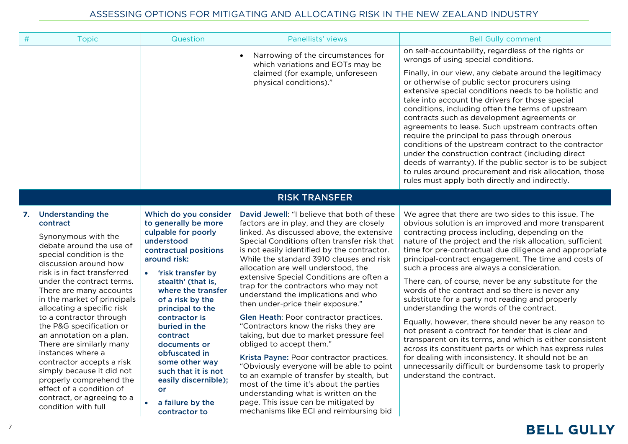| $\#$ | <b>Topic</b>                                                                                                                                                                                                                                                                                                                                                                                                                                                                                                                                                                                               | Question                                                                                                                                                                                                                                                                                                                                                                                                                                                  | Panellists' views                                                                                                                                                                                                                                                                                                                                                                                                                                                                                                                                                                                                                                                                                                                                                                                                                                                                                                                                           | <b>Bell Gully comment</b>                                                                                                                                                                                                                                                                                                                                                                                                                                                                                                                                                                                                                                                                                                                                                                                                                                                                                                                                                                   |
|------|------------------------------------------------------------------------------------------------------------------------------------------------------------------------------------------------------------------------------------------------------------------------------------------------------------------------------------------------------------------------------------------------------------------------------------------------------------------------------------------------------------------------------------------------------------------------------------------------------------|-----------------------------------------------------------------------------------------------------------------------------------------------------------------------------------------------------------------------------------------------------------------------------------------------------------------------------------------------------------------------------------------------------------------------------------------------------------|-------------------------------------------------------------------------------------------------------------------------------------------------------------------------------------------------------------------------------------------------------------------------------------------------------------------------------------------------------------------------------------------------------------------------------------------------------------------------------------------------------------------------------------------------------------------------------------------------------------------------------------------------------------------------------------------------------------------------------------------------------------------------------------------------------------------------------------------------------------------------------------------------------------------------------------------------------------|---------------------------------------------------------------------------------------------------------------------------------------------------------------------------------------------------------------------------------------------------------------------------------------------------------------------------------------------------------------------------------------------------------------------------------------------------------------------------------------------------------------------------------------------------------------------------------------------------------------------------------------------------------------------------------------------------------------------------------------------------------------------------------------------------------------------------------------------------------------------------------------------------------------------------------------------------------------------------------------------|
|      |                                                                                                                                                                                                                                                                                                                                                                                                                                                                                                                                                                                                            |                                                                                                                                                                                                                                                                                                                                                                                                                                                           | Narrowing of the circumstances for<br>$\bullet$<br>which variations and EOTs may be<br>claimed (for example, unforeseen<br>physical conditions)."                                                                                                                                                                                                                                                                                                                                                                                                                                                                                                                                                                                                                                                                                                                                                                                                           | on self-accountability, regardless of the rights or<br>wrongs of using special conditions.<br>Finally, in our view, any debate around the legitimacy<br>or otherwise of public sector procurers using<br>extensive special conditions needs to be holistic and<br>take into account the drivers for those special<br>conditions, including often the terms of upstream<br>contracts such as development agreements or<br>agreements to lease. Such upstream contracts often<br>require the principal to pass through onerous<br>conditions of the upstream contract to the contractor<br>under the construction contract (including direct<br>deeds of warranty). If the public sector is to be subject<br>to rules around procurement and risk allocation, those<br>rules must apply both directly and indirectly.                                                                                                                                                                         |
|      |                                                                                                                                                                                                                                                                                                                                                                                                                                                                                                                                                                                                            |                                                                                                                                                                                                                                                                                                                                                                                                                                                           | <b>RISK TRANSFER</b>                                                                                                                                                                                                                                                                                                                                                                                                                                                                                                                                                                                                                                                                                                                                                                                                                                                                                                                                        |                                                                                                                                                                                                                                                                                                                                                                                                                                                                                                                                                                                                                                                                                                                                                                                                                                                                                                                                                                                             |
| 7.   | <b>Understanding the</b><br>contract<br>Synonymous with the<br>debate around the use of<br>special condition is the<br>discussion around how<br>risk is in fact transferred<br>under the contract terms.<br>There are many accounts<br>in the market of principals<br>allocating a specific risk<br>to a contractor through<br>the P&G specification or<br>an annotation on a plan.<br>There are similarly many<br>instances where a<br>contractor accepts a risk<br>simply because it did not<br>properly comprehend the<br>effect of a condition of<br>contract, or agreeing to a<br>condition with full | Which do you consider<br>to generally be more<br>culpable for poorly<br>understood<br>contractual positions<br>around risk:<br>'risk transfer by<br>$\bullet$<br>stealth' (that is,<br>where the transfer<br>of a risk by the<br>principal to the<br>contractor is<br>buried in the<br>contract<br>documents or<br>obfuscated in<br>some other way<br>such that it is not<br>easily discernible);<br>or<br>a failure by the<br>$\bullet$<br>contractor to | David Jewell: "I believe that both of these<br>factors are in play, and they are closely<br>linked. As discussed above, the extensive<br>Special Conditions often transfer risk that<br>is not easily identified by the contractor.<br>While the standard 3910 clauses and risk<br>allocation are well understood, the<br>extensive Special Conditions are often a<br>trap for the contractors who may not<br>understand the implications and who<br>then under-price their exposure."<br>Glen Heath: Poor contractor practices.<br>"Contractors know the risks they are<br>taking, but due to market pressure feel<br>obliged to accept them."<br>Krista Payne: Poor contractor practices.<br>"Obviously everyone will be able to point<br>to an example of transfer by stealth, but<br>most of the time it's about the parties<br>understanding what is written on the<br>page. This issue can be mitigated by<br>mechanisms like ECI and reimbursing bid | We agree that there are two sides to this issue. The<br>obvious solution is an improved and more transparent<br>contracting process including, depending on the<br>nature of the project and the risk allocation, sufficient<br>time for pre-contractual due diligence and appropriate<br>principal-contract engagement. The time and costs of<br>such a process are always a consideration.<br>There can, of course, never be any substitute for the<br>words of the contract and so there is never any<br>substitute for a party not reading and properly<br>understanding the words of the contract.<br>Equally, however, there should never be any reason to<br>not present a contract for tender that is clear and<br>transparent on its terms, and which is either consistent<br>across its constituent parts or which has express rules<br>for dealing with inconsistency. It should not be an<br>unnecessarily difficult or burdensome task to properly<br>understand the contract. |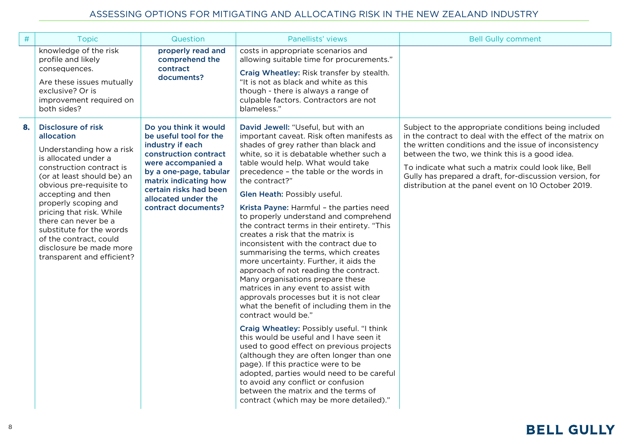| $\#$ | <b>Topic</b>                                                                                                                                                                                                                                                                                                                                                                                       | Question                                                                                                                                                                                                                                      | Panellists' views                                                                                                                                                                                                                                                                                                                                                                                                                                                                                                                                                                                                                                                                                                                                                                                                                                                                                                                                                                                                                                                                                                                                                                                                                       | <b>Bell Gully comment</b>                                                                                                                                                                                                                                                                                                                                                                             |
|------|----------------------------------------------------------------------------------------------------------------------------------------------------------------------------------------------------------------------------------------------------------------------------------------------------------------------------------------------------------------------------------------------------|-----------------------------------------------------------------------------------------------------------------------------------------------------------------------------------------------------------------------------------------------|-----------------------------------------------------------------------------------------------------------------------------------------------------------------------------------------------------------------------------------------------------------------------------------------------------------------------------------------------------------------------------------------------------------------------------------------------------------------------------------------------------------------------------------------------------------------------------------------------------------------------------------------------------------------------------------------------------------------------------------------------------------------------------------------------------------------------------------------------------------------------------------------------------------------------------------------------------------------------------------------------------------------------------------------------------------------------------------------------------------------------------------------------------------------------------------------------------------------------------------------|-------------------------------------------------------------------------------------------------------------------------------------------------------------------------------------------------------------------------------------------------------------------------------------------------------------------------------------------------------------------------------------------------------|
|      | knowledge of the risk<br>profile and likely<br>consequences.<br>Are these issues mutually<br>exclusive? Or is<br>improvement required on<br>both sides?                                                                                                                                                                                                                                            | properly read and<br>comprehend the<br>contract<br>documents?                                                                                                                                                                                 | costs in appropriate scenarios and<br>allowing suitable time for procurements."<br>Craig Wheatley: Risk transfer by stealth.<br>"It is not as black and white as this<br>though - there is always a range of<br>culpable factors. Contractors are not<br>blameless."                                                                                                                                                                                                                                                                                                                                                                                                                                                                                                                                                                                                                                                                                                                                                                                                                                                                                                                                                                    |                                                                                                                                                                                                                                                                                                                                                                                                       |
| 8.   | <b>Disclosure of risk</b><br>allocation<br>Understanding how a risk<br>is allocated under a<br>construction contract is<br>(or at least should be) an<br>obvious pre-requisite to<br>accepting and then<br>properly scoping and<br>pricing that risk. While<br>there can never be a<br>substitute for the words<br>of the contract, could<br>disclosure be made more<br>transparent and efficient? | Do you think it would<br>be useful tool for the<br>industry if each<br>construction contract<br>were accompanied a<br>by a one-page, tabular<br>matrix indicating how<br>certain risks had been<br>allocated under the<br>contract documents? | David Jewell: "Useful, but with an<br>important caveat. Risk often manifests as<br>shades of grey rather than black and<br>white, so it is debatable whether such a<br>table would help. What would take<br>precedence - the table or the words in<br>the contract?"<br>Glen Heath: Possibly useful.<br>Krista Payne: Harmful - the parties need<br>to properly understand and comprehend<br>the contract terms in their entirety. "This<br>creates a risk that the matrix is<br>inconsistent with the contract due to<br>summarising the terms, which creates<br>more uncertainty. Further, it aids the<br>approach of not reading the contract.<br>Many organisations prepare these<br>matrices in any event to assist with<br>approvals processes but it is not clear<br>what the benefit of including them in the<br>contract would be."<br>Craig Wheatley: Possibly useful. "I think<br>this would be useful and I have seen it<br>used to good effect on previous projects<br>(although they are often longer than one<br>page). If this practice were to be<br>adopted, parties would need to be careful<br>to avoid any conflict or confusion<br>between the matrix and the terms of<br>contract (which may be more detailed)." | Subject to the appropriate conditions being included<br>in the contract to deal with the effect of the matrix on<br>the written conditions and the issue of inconsistency<br>between the two, we think this is a good idea.<br>To indicate what such a matrix could look like, Bell<br>Gully has prepared a draft, for-discussion version, for<br>distribution at the panel event on 10 October 2019. |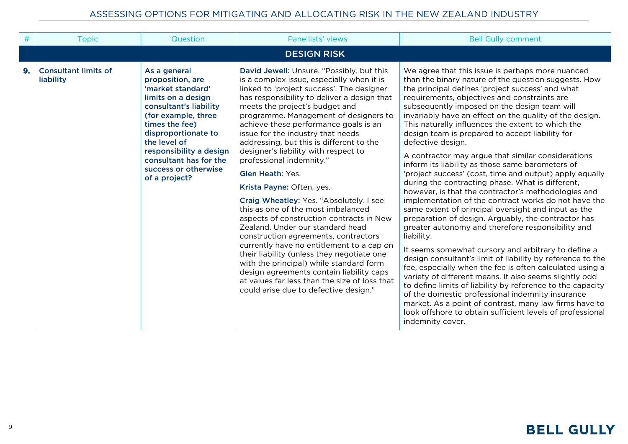| #  | <b>Topic</b>                             | Question                                                                                                                                                                                                                                                                            | Panellists' views                                                                                                                                                                                                                                                                                                                                                                                                                                                                                                                                                                                                                                                                                                                                                                                                                                                                                                                                                                                        | <b>Bell Gully comment</b>                                                                                                                                                                                                                                                                                                                                                                                                                                                                                                                                                                                                                                                                                                                                                                                                                                                                                                                                                                                                                                                                                                                                                                                                                                                                                                                                                                                                                                                             |
|----|------------------------------------------|-------------------------------------------------------------------------------------------------------------------------------------------------------------------------------------------------------------------------------------------------------------------------------------|----------------------------------------------------------------------------------------------------------------------------------------------------------------------------------------------------------------------------------------------------------------------------------------------------------------------------------------------------------------------------------------------------------------------------------------------------------------------------------------------------------------------------------------------------------------------------------------------------------------------------------------------------------------------------------------------------------------------------------------------------------------------------------------------------------------------------------------------------------------------------------------------------------------------------------------------------------------------------------------------------------|---------------------------------------------------------------------------------------------------------------------------------------------------------------------------------------------------------------------------------------------------------------------------------------------------------------------------------------------------------------------------------------------------------------------------------------------------------------------------------------------------------------------------------------------------------------------------------------------------------------------------------------------------------------------------------------------------------------------------------------------------------------------------------------------------------------------------------------------------------------------------------------------------------------------------------------------------------------------------------------------------------------------------------------------------------------------------------------------------------------------------------------------------------------------------------------------------------------------------------------------------------------------------------------------------------------------------------------------------------------------------------------------------------------------------------------------------------------------------------------|
|    |                                          |                                                                                                                                                                                                                                                                                     |                                                                                                                                                                                                                                                                                                                                                                                                                                                                                                                                                                                                                                                                                                                                                                                                                                                                                                                                                                                                          |                                                                                                                                                                                                                                                                                                                                                                                                                                                                                                                                                                                                                                                                                                                                                                                                                                                                                                                                                                                                                                                                                                                                                                                                                                                                                                                                                                                                                                                                                       |
|    |                                          |                                                                                                                                                                                                                                                                                     | <b>DESIGN RISK</b>                                                                                                                                                                                                                                                                                                                                                                                                                                                                                                                                                                                                                                                                                                                                                                                                                                                                                                                                                                                       |                                                                                                                                                                                                                                                                                                                                                                                                                                                                                                                                                                                                                                                                                                                                                                                                                                                                                                                                                                                                                                                                                                                                                                                                                                                                                                                                                                                                                                                                                       |
| 9. | <b>Consultant limits of</b><br>liability | As a general<br>proposition, are<br>'market standard'<br>limits on a design<br>consultant's liability<br>(for example, three<br>times the fee)<br>disproportionate to<br>the level of<br>responsibility a design<br>consultant has for the<br>success or otherwise<br>of a project? | David Jewell: Unsure. "Possibly, but this<br>is a complex issue, especially when it is<br>linked to 'project success'. The designer<br>has responsibility to deliver a design that<br>meets the project's budget and<br>programme. Management of designers to<br>achieve these performance goals is an<br>issue for the industry that needs<br>addressing, but this is different to the<br>designer's liability with respect to<br>professional indemnity."<br><b>Glen Heath: Yes.</b><br>Krista Payne: Often, yes.<br>Craig Wheatley: Yes. "Absolutely. I see<br>this as one of the most imbalanced<br>aspects of construction contracts in New<br>Zealand. Under our standard head<br>construction agreements, contractors<br>currently have no entitlement to a cap on<br>their liability (unless they negotiate one<br>with the principal) while standard form<br>design agreements contain liability caps<br>at values far less than the size of loss that<br>could arise due to defective design." | We agree that this issue is perhaps more nuanced<br>than the binary nature of the question suggests. How<br>the principal defines 'project success' and what<br>requirements, objectives and constraints are<br>subsequently imposed on the design team will<br>invariably have an effect on the quality of the design.<br>This naturally influences the extent to which the<br>design team is prepared to accept liability for<br>defective design.<br>A contractor may argue that similar considerations<br>inform its liability as those same barometers of<br>'project success' (cost, time and output) apply equally<br>during the contracting phase. What is different,<br>however, is that the contractor's methodologies and<br>implementation of the contract works do not have the<br>same extent of principal oversight and input as the<br>preparation of design. Arguably, the contractor has<br>greater autonomy and therefore responsibility and<br>liability.<br>It seems somewhat cursory and arbitrary to define a<br>design consultant's limit of liability by reference to the<br>fee, especially when the fee is often calculated using a<br>variety of different means. It also seems slightly odd<br>to define limits of liability by reference to the capacity<br>of the domestic professional indemnity insurance<br>market. As a point of contrast, many law firms have to<br>look offshore to obtain sufficient levels of professional<br>indemnity cover. |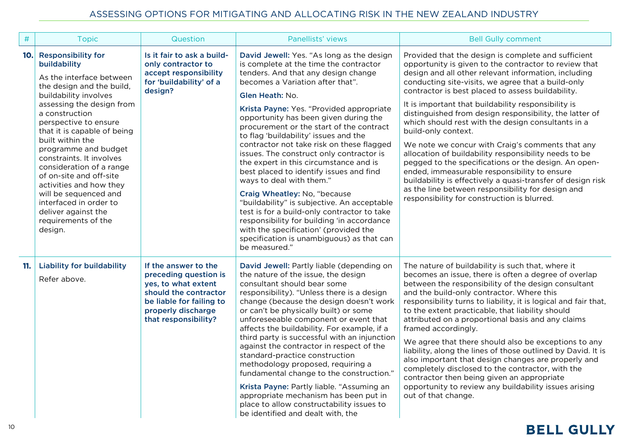| #   | <b>Topic</b>                                                                                                                                                                                                                                                                                                                                                                                                                                                                                             | Question                                                                                                                                                                | Panellists' views                                                                                                                                                                                                                                                                                                                                                                                                                                                                                                                                                                                                                                                                                                                                                                                                                                        | <b>Bell Gully comment</b>                                                                                                                                                                                                                                                                                                                                                                                                                                                                                                                                                                                                                                                                                                                                                                                                                                              |
|-----|----------------------------------------------------------------------------------------------------------------------------------------------------------------------------------------------------------------------------------------------------------------------------------------------------------------------------------------------------------------------------------------------------------------------------------------------------------------------------------------------------------|-------------------------------------------------------------------------------------------------------------------------------------------------------------------------|----------------------------------------------------------------------------------------------------------------------------------------------------------------------------------------------------------------------------------------------------------------------------------------------------------------------------------------------------------------------------------------------------------------------------------------------------------------------------------------------------------------------------------------------------------------------------------------------------------------------------------------------------------------------------------------------------------------------------------------------------------------------------------------------------------------------------------------------------------|------------------------------------------------------------------------------------------------------------------------------------------------------------------------------------------------------------------------------------------------------------------------------------------------------------------------------------------------------------------------------------------------------------------------------------------------------------------------------------------------------------------------------------------------------------------------------------------------------------------------------------------------------------------------------------------------------------------------------------------------------------------------------------------------------------------------------------------------------------------------|
| 10. | <b>Responsibility for</b><br>buildability<br>As the interface between<br>the design and the build,<br>buildability involves<br>assessing the design from<br>a construction<br>perspective to ensure<br>that it is capable of being<br>built within the<br>programme and budget<br>constraints. It involves<br>consideration of a range<br>of on-site and off-site<br>activities and how they<br>will be sequenced and<br>interfaced in order to<br>deliver against the<br>requirements of the<br>design. | Is it fair to ask a build-<br>only contractor to<br>accept responsibility<br>for 'buildability' of a<br>design?                                                         | David Jewell: Yes. "As long as the design<br>is complete at the time the contractor<br>tenders. And that any design change<br>becomes a Variation after that".<br>Glen Heath: No.<br>Krista Payne: Yes. "Provided appropriate<br>opportunity has been given during the<br>procurement or the start of the contract<br>to flag 'buildability' issues and the<br>contractor not take risk on these flagged<br>issues. The construct only contractor is<br>the expert in this circumstance and is<br>best placed to identify issues and find<br>ways to deal with them."<br>Craig Wheatley: No, "because<br>"buildability" is subjective. An acceptable<br>test is for a build-only contractor to take<br>responsibility for building 'in accordance<br>with the specification' (provided the<br>specification is unambiguous) as that can<br>be measured." | Provided that the design is complete and sufficient<br>opportunity is given to the contractor to review that<br>design and all other relevant information, including<br>conducting site-visits, we agree that a build-only<br>contractor is best placed to assess buildability.<br>It is important that buildability responsibility is<br>distinguished from design responsibility, the latter of<br>which should rest with the design consultants in a<br>build-only context.<br>We note we concur with Craig's comments that any<br>allocation of buildability responsibility needs to be<br>pegged to the specifications or the design. An open-<br>ended, immeasurable responsibility to ensure<br>buildability is effectively a quasi-transfer of design risk<br>as the line between responsibility for design and<br>responsibility for construction is blurred. |
| 11. | <b>Liability for buildability</b><br>Refer above.                                                                                                                                                                                                                                                                                                                                                                                                                                                        | If the answer to the<br>preceding question is<br>yes, to what extent<br>should the contractor<br>be liable for failing to<br>properly discharge<br>that responsibility? | David Jewell: Partly liable (depending on<br>the nature of the issue, the design<br>consultant should bear some<br>responsibility). "Unless there is a design<br>change (because the design doesn't work<br>or can't be physically built) or some<br>unforeseeable component or event that<br>affects the buildability. For example, if a<br>third party is successful with an injunction<br>against the contractor in respect of the<br>standard-practice construction<br>methodology proposed, requiring a<br>fundamental change to the construction."<br>Krista Payne: Partly liable. "Assuming an<br>appropriate mechanism has been put in<br>place to allow constructability issues to<br>be identified and dealt with, the                                                                                                                         | The nature of buildability is such that, where it<br>becomes an issue, there is often a degree of overlap<br>between the responsibility of the design consultant<br>and the build-only contractor. Where this<br>responsibility turns to liability, it is logical and fair that,<br>to the extent practicable, that liability should<br>attributed on a proportional basis and any claims<br>framed accordingly.<br>We agree that there should also be exceptions to any<br>liability, along the lines of those outlined by David. It is<br>also important that design changes are properly and<br>completely disclosed to the contractor, with the<br>contractor then being given an appropriate<br>opportunity to review any buildability issues arising<br>out of that change.                                                                                      |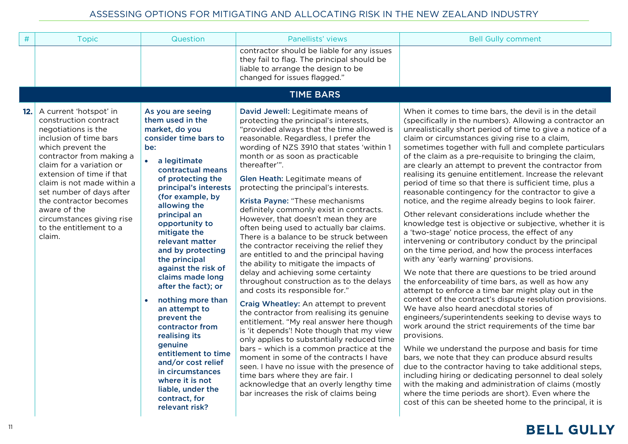| $\#$ | <b>Topic</b>                                                                                                                                                                                                                                                                                                                                                                     | Question                                                                                                                                                                                                                                                                                                                                                                                                                                                                                                                                                                                                                                                 | Panellists' views                                                                                                                                                                                                                                                                                                                                                                                                                                                                                                                                                                                                                                                                                                                                                                                                                                                                                                                                                                                                                                                                                                                                                                                                                                                                                        | <b>Bell Gully comment</b>                                                                                                                                                                                                                                                                                                                                                                                                                                                                                                                                                                                                                                                                                                                                                                                                                                                                                                                                                                                                                                                                                                                                                                                                                                                                                                                                                                                                                                                                                                                                                                                                                                                                                                                                                                         |
|------|----------------------------------------------------------------------------------------------------------------------------------------------------------------------------------------------------------------------------------------------------------------------------------------------------------------------------------------------------------------------------------|----------------------------------------------------------------------------------------------------------------------------------------------------------------------------------------------------------------------------------------------------------------------------------------------------------------------------------------------------------------------------------------------------------------------------------------------------------------------------------------------------------------------------------------------------------------------------------------------------------------------------------------------------------|----------------------------------------------------------------------------------------------------------------------------------------------------------------------------------------------------------------------------------------------------------------------------------------------------------------------------------------------------------------------------------------------------------------------------------------------------------------------------------------------------------------------------------------------------------------------------------------------------------------------------------------------------------------------------------------------------------------------------------------------------------------------------------------------------------------------------------------------------------------------------------------------------------------------------------------------------------------------------------------------------------------------------------------------------------------------------------------------------------------------------------------------------------------------------------------------------------------------------------------------------------------------------------------------------------|---------------------------------------------------------------------------------------------------------------------------------------------------------------------------------------------------------------------------------------------------------------------------------------------------------------------------------------------------------------------------------------------------------------------------------------------------------------------------------------------------------------------------------------------------------------------------------------------------------------------------------------------------------------------------------------------------------------------------------------------------------------------------------------------------------------------------------------------------------------------------------------------------------------------------------------------------------------------------------------------------------------------------------------------------------------------------------------------------------------------------------------------------------------------------------------------------------------------------------------------------------------------------------------------------------------------------------------------------------------------------------------------------------------------------------------------------------------------------------------------------------------------------------------------------------------------------------------------------------------------------------------------------------------------------------------------------------------------------------------------------------------------------------------------------|
|      |                                                                                                                                                                                                                                                                                                                                                                                  |                                                                                                                                                                                                                                                                                                                                                                                                                                                                                                                                                                                                                                                          | contractor should be liable for any issues<br>they fail to flag. The principal should be<br>liable to arrange the design to be<br>changed for issues flagged."                                                                                                                                                                                                                                                                                                                                                                                                                                                                                                                                                                                                                                                                                                                                                                                                                                                                                                                                                                                                                                                                                                                                           |                                                                                                                                                                                                                                                                                                                                                                                                                                                                                                                                                                                                                                                                                                                                                                                                                                                                                                                                                                                                                                                                                                                                                                                                                                                                                                                                                                                                                                                                                                                                                                                                                                                                                                                                                                                                   |
|      |                                                                                                                                                                                                                                                                                                                                                                                  |                                                                                                                                                                                                                                                                                                                                                                                                                                                                                                                                                                                                                                                          | <b>TIME BARS</b>                                                                                                                                                                                                                                                                                                                                                                                                                                                                                                                                                                                                                                                                                                                                                                                                                                                                                                                                                                                                                                                                                                                                                                                                                                                                                         |                                                                                                                                                                                                                                                                                                                                                                                                                                                                                                                                                                                                                                                                                                                                                                                                                                                                                                                                                                                                                                                                                                                                                                                                                                                                                                                                                                                                                                                                                                                                                                                                                                                                                                                                                                                                   |
| 12.  | A current 'hotspot' in<br>construction contract<br>negotiations is the<br>inclusion of time bars<br>which prevent the<br>contractor from making a<br>claim for a variation or<br>extension of time if that<br>claim is not made within a<br>set number of days after<br>the contractor becomes<br>aware of the<br>circumstances giving rise<br>to the entitlement to a<br>claim. | As you are seeing<br>them used in the<br>market, do you<br>consider time bars to<br>be:<br>$\bullet$<br>a legitimate<br>contractual means<br>of protecting the<br>principal's interests<br>(for example, by<br>allowing the<br>principal an<br>opportunity to<br>mitigate the<br>relevant matter<br>and by protecting<br>the principal<br>against the risk of<br>claims made long<br>after the fact); or<br>nothing more than<br>an attempt to<br>prevent the<br>contractor from<br>realising its<br>genuine<br>entitlement to time<br>and/or cost relief<br>in circumstances<br>where it is not<br>liable, under the<br>contract, for<br>relevant risk? | David Jewell: Legitimate means of<br>protecting the principal's interests,<br>"provided always that the time allowed is<br>reasonable. Regardless, I prefer the<br>wording of NZS 3910 that states 'within 1<br>month or as soon as practicable<br>thereafter".<br>Glen Heath: Legitimate means of<br>protecting the principal's interests.<br>Krista Payne: "These mechanisms<br>definitely commonly exist in contracts.<br>However, that doesn't mean they are<br>often being used to actually bar claims.<br>There is a balance to be struck between<br>the contractor receiving the relief they<br>are entitled to and the principal having<br>the ability to mitigate the impacts of<br>delay and achieving some certainty<br>throughout construction as to the delays<br>and costs its responsible for."<br>Craig Wheatley: An attempt to prevent<br>the contractor from realising its genuine<br>entitlement. "My real answer here though<br>is 'it depends'! Note though that my view<br>only applies to substantially reduced time<br>bars - which is a common practice at the<br>moment in some of the contracts I have<br>seen. I have no issue with the presence of<br>time bars where they are fair. I<br>acknowledge that an overly lengthy time<br>bar increases the risk of claims being | When it comes to time bars, the devil is in the detail<br>(specifically in the numbers). Allowing a contractor an<br>unrealistically short period of time to give a notice of a<br>claim or circumstances giving rise to a claim,<br>sometimes together with full and complete particulars<br>of the claim as a pre-requisite to bringing the claim,<br>are clearly an attempt to prevent the contractor from<br>realising its genuine entitlement. Increase the relevant<br>period of time so that there is sufficient time, plus a<br>reasonable contingency for the contractor to give a<br>notice, and the regime already begins to look fairer.<br>Other relevant considerations include whether the<br>knowledge test is objective or subjective, whether it is<br>a 'two-stage' notice process, the effect of any<br>intervening or contributory conduct by the principal<br>on the time period, and how the process interfaces<br>with any 'early warning' provisions.<br>We note that there are questions to be tried around<br>the enforceability of time bars, as well as how any<br>attempt to enforce a time bar might play out in the<br>context of the contract's dispute resolution provisions.<br>We have also heard anecdotal stories of<br>engineers/superintendents seeking to devise ways to<br>work around the strict requirements of the time bar<br>provisions.<br>While we understand the purpose and basis for time<br>bars, we note that they can produce absurd results<br>due to the contractor having to take additional steps,<br>including hiring or dedicating personnel to deal solely<br>with the making and administration of claims (mostly<br>where the time periods are short). Even where the<br>cost of this can be sheeted home to the principal, it is |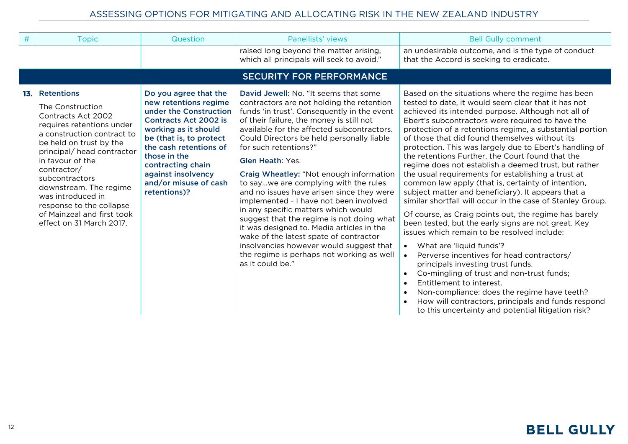| #   | <b>Topic</b>                                                                                                                                                                                                                                                                                                                                                              | Question                                                                                                                                                                                                                                                                                  | Panellists' views                                                                                                                                                                                                                                                                                                                                                                                                                                                                                                                                                                                                                                                                                                                                                                              | <b>Bell Gully comment</b>                                                                                                                                                                                                                                                                                                                                                                                                                                                                                                                                                                                                                                                                                                                                                                                                                                                                                                                                                                                                                                                                                                                                                                                                                                                                       |  |  |  |
|-----|---------------------------------------------------------------------------------------------------------------------------------------------------------------------------------------------------------------------------------------------------------------------------------------------------------------------------------------------------------------------------|-------------------------------------------------------------------------------------------------------------------------------------------------------------------------------------------------------------------------------------------------------------------------------------------|------------------------------------------------------------------------------------------------------------------------------------------------------------------------------------------------------------------------------------------------------------------------------------------------------------------------------------------------------------------------------------------------------------------------------------------------------------------------------------------------------------------------------------------------------------------------------------------------------------------------------------------------------------------------------------------------------------------------------------------------------------------------------------------------|-------------------------------------------------------------------------------------------------------------------------------------------------------------------------------------------------------------------------------------------------------------------------------------------------------------------------------------------------------------------------------------------------------------------------------------------------------------------------------------------------------------------------------------------------------------------------------------------------------------------------------------------------------------------------------------------------------------------------------------------------------------------------------------------------------------------------------------------------------------------------------------------------------------------------------------------------------------------------------------------------------------------------------------------------------------------------------------------------------------------------------------------------------------------------------------------------------------------------------------------------------------------------------------------------|--|--|--|
|     |                                                                                                                                                                                                                                                                                                                                                                           |                                                                                                                                                                                                                                                                                           | raised long beyond the matter arising,<br>which all principals will seek to avoid."                                                                                                                                                                                                                                                                                                                                                                                                                                                                                                                                                                                                                                                                                                            | an undesirable outcome, and is the type of conduct<br>that the Accord is seeking to eradicate.                                                                                                                                                                                                                                                                                                                                                                                                                                                                                                                                                                                                                                                                                                                                                                                                                                                                                                                                                                                                                                                                                                                                                                                                  |  |  |  |
|     | <b>SECURITY FOR PERFORMANCE</b>                                                                                                                                                                                                                                                                                                                                           |                                                                                                                                                                                                                                                                                           |                                                                                                                                                                                                                                                                                                                                                                                                                                                                                                                                                                                                                                                                                                                                                                                                |                                                                                                                                                                                                                                                                                                                                                                                                                                                                                                                                                                                                                                                                                                                                                                                                                                                                                                                                                                                                                                                                                                                                                                                                                                                                                                 |  |  |  |
| 13. | <b>Retentions</b><br>The Construction<br>Contracts Act 2002<br>requires retentions under<br>a construction contract to<br>be held on trust by the<br>principal/ head contractor<br>in favour of the<br>contractor/<br>subcontractors<br>downstream. The regime<br>was introduced in<br>response to the collapse<br>of Mainzeal and first took<br>effect on 31 March 2017. | Do you agree that the<br>new retentions regime<br>under the Construction<br><b>Contracts Act 2002 is</b><br>working as it should<br>be (that is, to protect<br>the cash retentions of<br>those in the<br>contracting chain<br>against insolvency<br>and/or misuse of cash<br>retentions)? | David Jewell: No. "It seems that some<br>contractors are not holding the retention<br>funds 'in trust'. Consequently in the event<br>of their failure, the money is still not<br>available for the affected subcontractors.<br>Could Directors be held personally liable<br>for such retentions?"<br><b>Glen Heath: Yes.</b><br>Craig Wheatley: "Not enough information<br>to saywe are complying with the rules<br>and no issues have arisen since they were<br>implemented - I have not been involved<br>in any specific matters which would<br>suggest that the regime is not doing what<br>it was designed to. Media articles in the<br>wake of the latest spate of contractor<br>insolvencies however would suggest that<br>the regime is perhaps not working as well<br>as it could be." | Based on the situations where the regime has been<br>tested to date, it would seem clear that it has not<br>achieved its intended purpose. Although not all of<br>Ebert's subcontractors were required to have the<br>protection of a retentions regime, a substantial portion<br>of those that did found themselves without its<br>protection. This was largely due to Ebert's handling of<br>the retentions Further, the Court found that the<br>regime does not establish a deemed trust, but rather<br>the usual requirements for establishing a trust at<br>common law apply (that is, certainty of intention,<br>subject matter and beneficiary). It appears that a<br>similar shortfall will occur in the case of Stanley Group.<br>Of course, as Craig points out, the regime has barely<br>been tested, but the early signs are not great. Key<br>issues which remain to be resolved include:<br>What are 'liquid funds'?<br>$\bullet$<br>Perverse incentives for head contractors/<br>principals investing trust funds.<br>Co-mingling of trust and non-trust funds;<br>$\bullet$<br>Entitlement to interest.<br>Non-compliance: does the regime have teeth?<br>$\bullet$<br>How will contractors, principals and funds respond<br>to this uncertainty and potential litigation risk? |  |  |  |